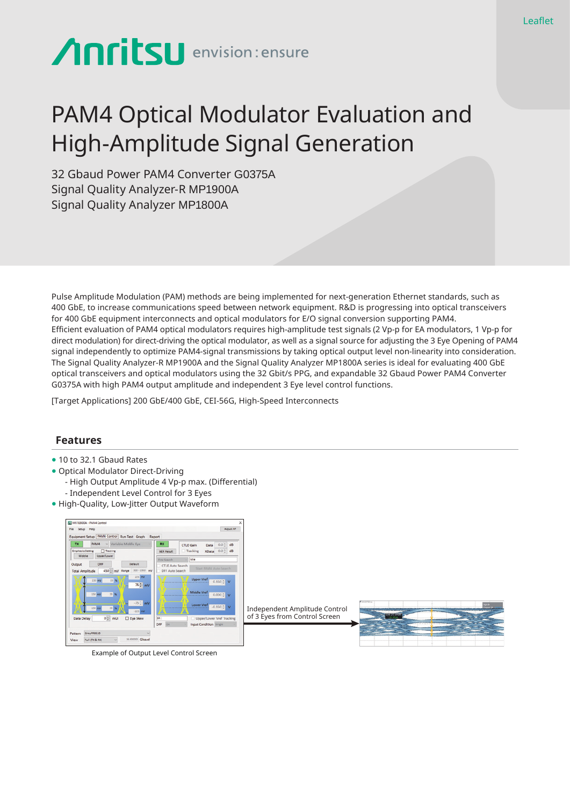# **Anritsu** envision: ensure

## PAM4 Optical Modulator Evaluation and High-Amplitude Signal Generation

32 Gbaud Power PAM4 Converter G0375A Signal Quality Analyzer-R MP1900A Signal Quality Analyzer MP1800A

Pulse Amplitude Modulation (PAM) methods are being implemented for next-generation Ethernet standards, such as 400 GbE, to increase communications speed between network equipment. R&D is progressing into optical transceivers for 400 GbE equipment interconnects and optical modulators for E/O signal conversion supporting PAM4. Efficient evaluation of PAM4 optical modulators requires high-amplitude test signals (2 Vp-p for EA modulators, 1 Vp-p for direct modulation) for direct-driving the optical modulator, as well as a signal source for adjusting the 3 Eye Opening of PAM4 signal independently to optimize PAM4-signal transmissions by taking optical output level non-linearity into consideration. The Signal Quality Analyzer-R MP1900A and the Signal Quality Analyzer MP1800A series is ideal for evaluating 400 GbE optical transceivers and optical modulators using the 32 Gbit/s PPG, and expandable 32 Gbaud Power PAM4 Converter G0375A with high PAM4 output amplitude and independent 3 Eye level control functions.

[Target Applications] 200 GbE/400 GbE, CEI-56G, High-Speed Interconnects

#### **Features**

- 10 to 32.1 Gbaud Rates
- Optical Modulator Direct-Driving
	- High Output Amplitude 4 Vp-p max. (Differential)
	- Independent Level Control for 3 Eyes
- High-Quality, Low-Jitter Output Waveform



Example of Output Level Control Screen

Independent Amplitude Control of 3 Eyes from Control Screen